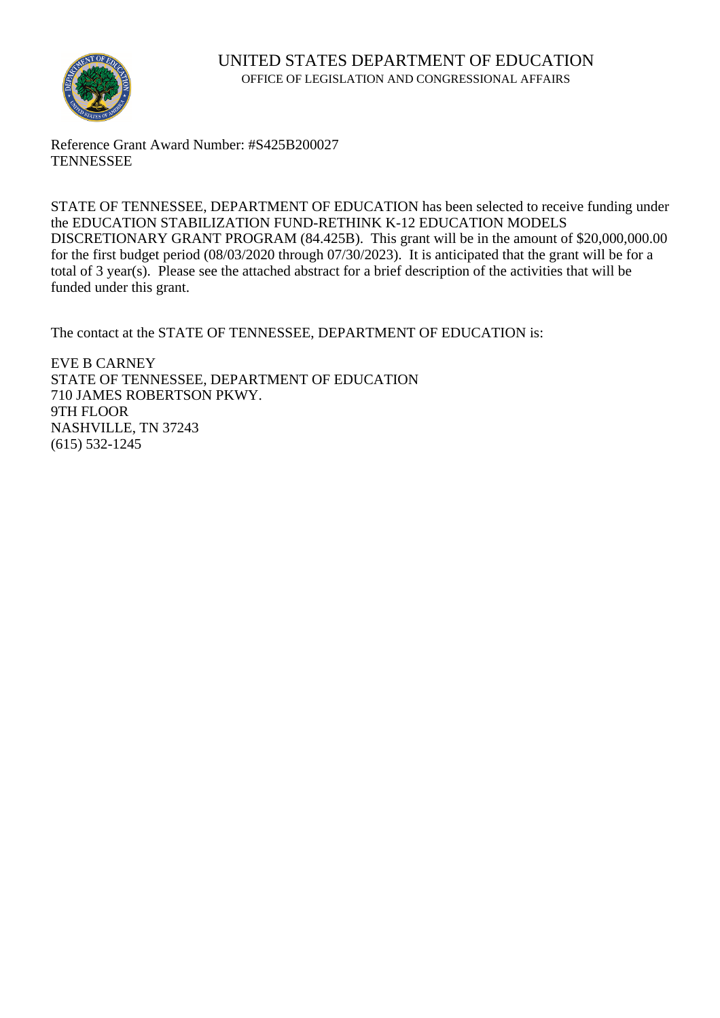

Reference Grant Award Number: #S425B200027 **TENNESSEE** 

STATE OF TENNESSEE, DEPARTMENT OF EDUCATION has been selected to receive funding under the EDUCATION STABILIZATION FUND-RETHINK K-12 EDUCATION MODELS DISCRETIONARY GRANT PROGRAM (84.425B). This grant will be in the amount of \$20,000,000.00 for the first budget period (08/03/2020 through 07/30/2023). It is anticipated that the grant will be for a total of 3 year(s). Please see the attached abstract for a brief description of the activities that will be funded under this grant.

The contact at the STATE OF TENNESSEE, DEPARTMENT OF EDUCATION is:

EVE B CARNEY STATE OF TENNESSEE, DEPARTMENT OF EDUCATION 710 JAMES ROBERTSON PKWY. 9TH FLOOR NASHVILLE, TN 37243 (615) 532-1245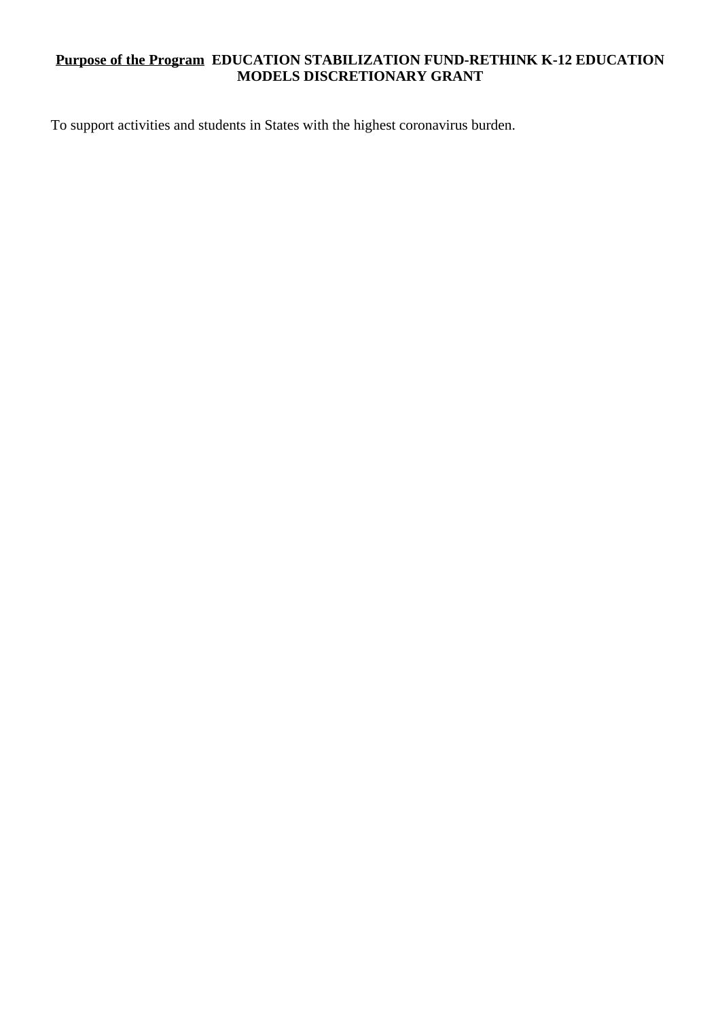## **Purpose of the Program EDUCATION STABILIZATION FUND-RETHINK K-12 EDUCATION MODELS DISCRETIONARY GRANT**

To support activities and students in States with the highest coronavirus burden.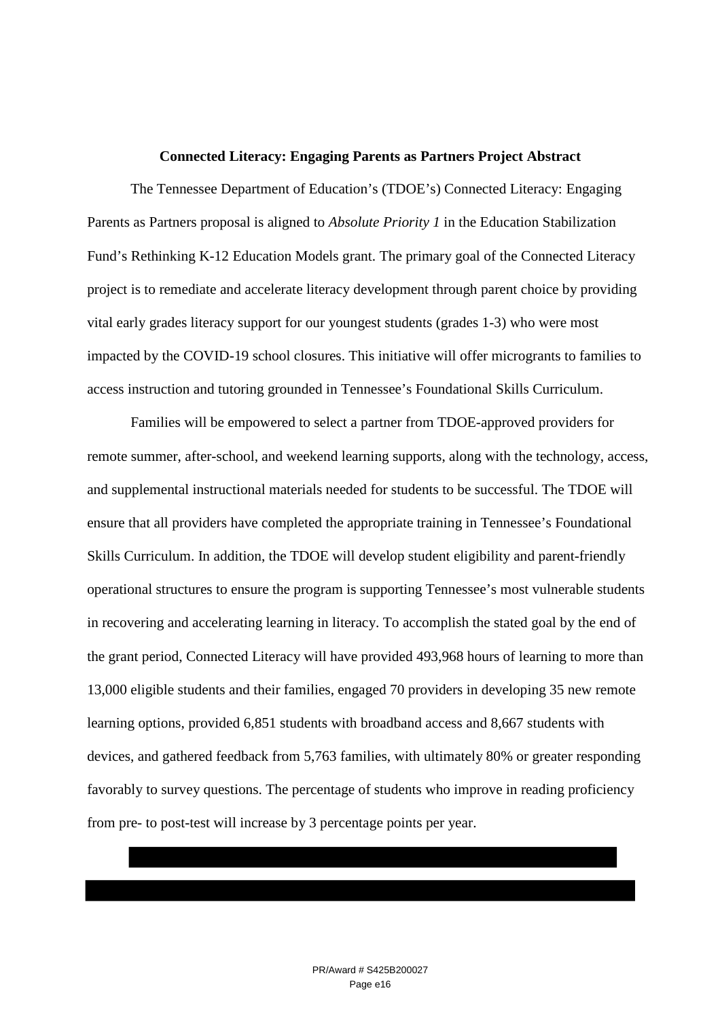## **Connected Literacy: Engaging Parents as Partners Project Abstract**

The Tennessee Department of Education's (TDOE's) Connected Literacy: Engaging Parents as Partners proposal is aligned to *Absolute Priority 1* in the Education Stabilization Fund's Rethinking K-12 Education Models grant. The primary goal of the Connected Literacy project is to remediate and accelerate literacy development through parent choice by providing vital early grades literacy support for our youngest students (grades 1-3) who were most impacted by the COVID-19 school closures. This initiative will offer microgrants to families to access instruction and tutoring grounded in Tennessee's Foundational Skills Curriculum.

Families will be empowered to select a partner from TDOE-approved providers for remote summer, after-school, and weekend learning supports, along with the technology, access, and supplemental instructional materials needed for students to be successful. The TDOE will ensure that all providers have completed the appropriate training in Tennessee's Foundational Skills Curriculum. In addition, the TDOE will develop student eligibility and parent-friendly operational structures to ensure the program is supporting Tennessee's most vulnerable students in recovering and accelerating learning in literacy. To accomplish the stated goal by the end of the grant period, Connected Literacy will have provided 493,968 hours of learning to more than 13,000 eligible students and their families, engaged 70 providers in developing 35 new remote learning options, provided 6,851 students with broadband access and 8,667 students with devices, and gathered feedback from 5,763 families, with ultimately 80% or greater responding favorably to survey questions. The percentage of students who improve in reading proficiency from pre- to post-test will increase by 3 percentage points per year.